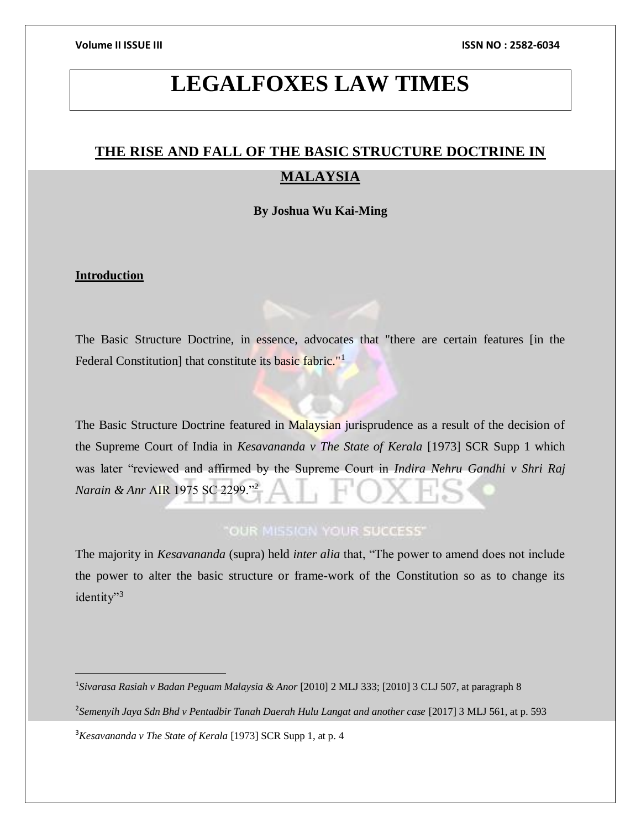# **LEGALFOXES LAW TIMES**

# **THE RISE AND FALL OF THE BASIC STRUCTURE DOCTRINE IN MALAYSIA**

### **By Joshua Wu Kai-Ming**

### **Introduction**

 $\overline{a}$ 

The Basic Structure Doctrine, in essence, advocates that "there are certain features [in the Federal Constitution] that constitute its basic fabric."<sup>1</sup>

The Basic Structure Doctrine featured in Malaysian jurisprudence as a result of the decision of the Supreme Court of India in *Kesavananda v The State of Kerala* [1973] SCR Supp 1 which was later "reviewed and affirmed by the Supreme Court in *Indira Nehru Gandhi v Shri Raj Narain & Anr* AIR 1975 SC 2299."<sup>2</sup>

## "OUR MISSION YOUR SUCCESS"

The majority in *Kesavananda* (supra) held *inter alia* that, "The power to amend does not include the power to alter the basic structure or frame-work of the Constitution so as to change its identity"<sup>3</sup>

1 *Sivarasa Rasiah v Badan Peguam Malaysia & Anor* [2010] 2 MLJ 333; [2010] 3 CLJ 507, at paragraph 8 2 *Semenyih Jaya Sdn Bhd v Pentadbir Tanah Daerah Hulu Langat and another case* [2017] 3 MLJ 561, at p. 593 <sup>3</sup>*Kesavananda v The State of Kerala* [1973] SCR Supp 1, at p. 4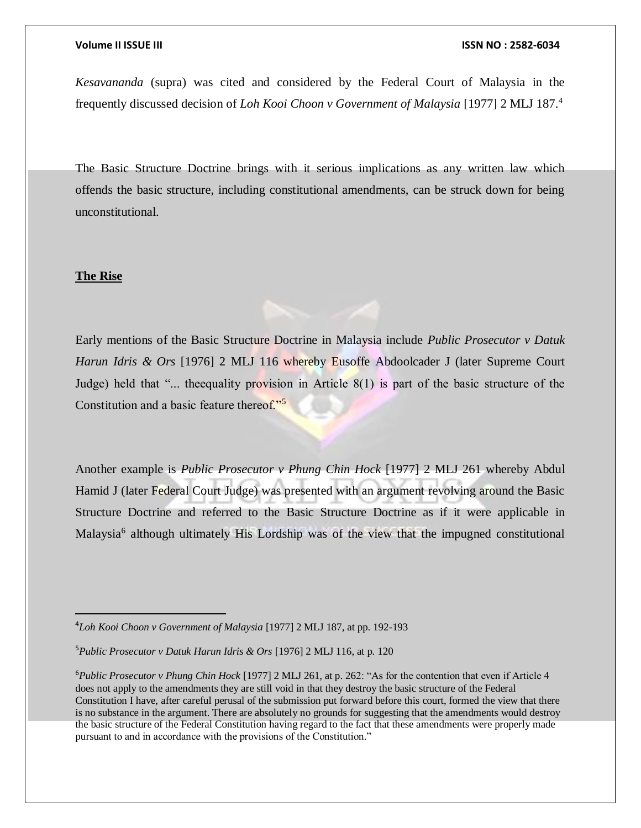### **Volume II ISSUE III ISSN NO : 2582-6034**

*Kesavananda* (supra) was cited and considered by the Federal Court of Malaysia in the frequently discussed decision of *Loh Kooi Choon v Government of Malaysia* [1977] 2 MLJ 187.<sup>4</sup>

The Basic Structure Doctrine brings with it serious implications as any written law which offends the basic structure, including constitutional amendments, can be struck down for being unconstitutional.

### **The Rise**

 $\overline{a}$ 

Early mentions of the Basic Structure Doctrine in Malaysia include *Public Prosecutor v Datuk Harun Idris & Ors* [1976] 2 MLJ 116 whereby Eusoffe Abdoolcader J (later Supreme Court Judge) held that "... the equality provision in Article  $8(1)$  is part of the basic structure of the Constitution and a basic feature thereof."<sup>5</sup>

Another example is *Public Prosecutor v Phung Chin Hock* [1977] 2 MLJ 261 whereby Abdul Hamid J (later Federal Court Judge) was presented with an argument revolving around the Basic Structure Doctrine and referred to the Basic Structure Doctrine as if it were applicable in Malaysia<sup>6</sup> although ultimately His Lordship was of the view that the impugned constitutional

<sup>4</sup>*Loh Kooi Choon v Government of Malaysia* [1977] 2 MLJ 187, at pp. 192-193

<sup>5</sup>*Public Prosecutor v Datuk Harun Idris & Ors* [1976] 2 MLJ 116, at p. 120

<sup>6</sup>*Public Prosecutor v Phung Chin Hock* [1977] 2 MLJ 261, at p. 262: "As for the contention that even if Article 4 does not apply to the amendments they are still void in that they destroy the basic structure of the Federal Constitution I have, after careful perusal of the submission put forward before this court, formed the view that there is no substance in the argument. There are absolutely no grounds for suggesting that the amendments would destroy the basic structure of the Federal Constitution having regard to the fact that these amendments were properly made pursuant to and in accordance with the provisions of the Constitution."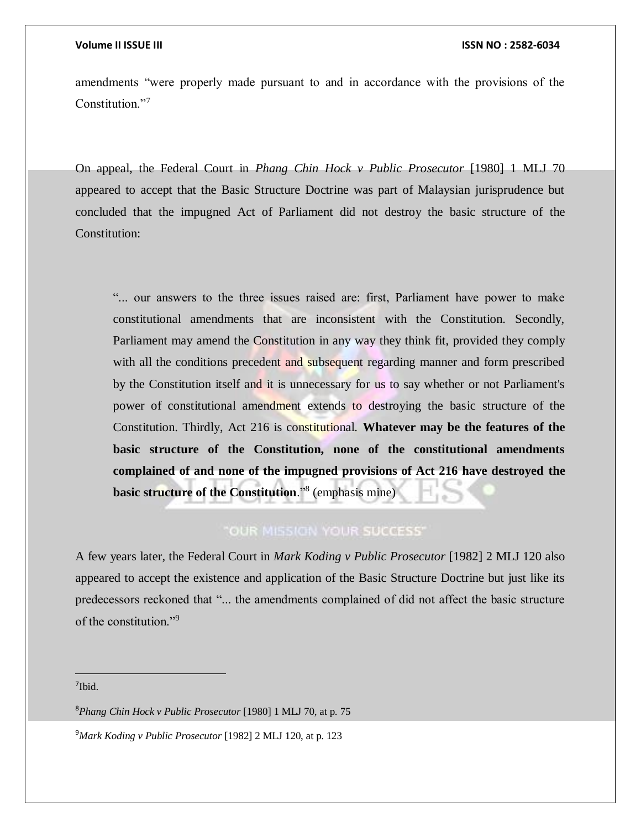amendments "were properly made pursuant to and in accordance with the provisions of the Constitution."<sup>7</sup>

On appeal, the Federal Court in *Phang Chin Hock v Public Prosecutor* [1980] 1 MLJ 70 appeared to accept that the Basic Structure Doctrine was part of Malaysian jurisprudence but concluded that the impugned Act of Parliament did not destroy the basic structure of the Constitution:

"... our answers to the three issues raised are: first, Parliament have power to make constitutional amendments that are inconsistent with the Constitution. Secondly, Parliament may amend the Constitution in any way they think fit, provided they comply with all the conditions precedent and subsequent regarding manner and form prescribed by the Constitution itself and it is unnecessary for us to say whether or not Parliament's power of constitutional amendment extends to destroying the basic structure of the Constitution. Thirdly, Act 216 is constitutional. **Whatever may be the features of the basic structure of the Constitution, none of the constitutional amendments complained of and none of the impugned provisions of Act 216 have destroyed the basic structure of the Constitution**."<sup>8</sup> (emphasis mine)

## "OUR MISSION YOUR SUCCESS"

A few years later, the Federal Court in *Mark Koding v Public Prosecutor* [1982] 2 MLJ 120 also appeared to accept the existence and application of the Basic Structure Doctrine but just like its predecessors reckoned that "... the amendments complained of did not affect the basic structure of the constitution."<sup>9</sup>

7 Ibid.

 $\overline{a}$ 

<sup>8</sup>*Phang Chin Hock v Public Prosecutor* [1980] 1 MLJ 70, at p. 75

<sup>9</sup>*Mark Koding v Public Prosecutor* [1982] 2 MLJ 120, at p. 123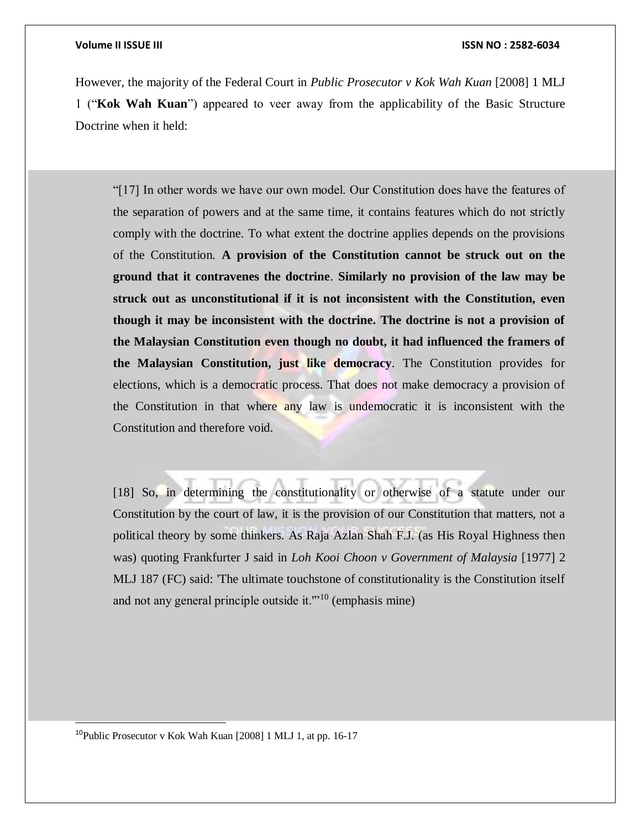However, the majority of the Federal Court in *Public Prosecutor v Kok Wah Kuan* [2008] 1 MLJ 1 ("**Kok Wah Kuan**") appeared to veer away from the applicability of the Basic Structure Doctrine when it held:

"[17] In other words we have our own model. Our Constitution does have the features of the separation of powers and at the same time, it contains features which do not strictly comply with the doctrine. To what extent the doctrine applies depends on the provisions of the Constitution. **A provision of the Constitution cannot be struck out on the ground that it contravenes the doctrine**. **Similarly no provision of the law may be struck out as unconstitutional if it is not inconsistent with the Constitution, even though it may be inconsistent with the doctrine. The doctrine is not a provision of the Malaysian Constitution even though no doubt, it had influenced the framers of the Malaysian Constitution, just like democracy**. The Constitution provides for elections, which is a democratic process. That does not make democracy a provision of the Constitution in that where any law is undemocratic it is inconsistent with the Constitution and therefore void.

[18] So, in determining the constitutionality or otherwise of a statute under our Constitution by the court of law, it is the provision of our Constitution that matters, not a political theory by some thinkers. As Raja Azlan Shah F.J. (as His Royal Highness then was) quoting Frankfurter J said in *Loh Kooi Choon v Government of Malaysia* [1977] 2 MLJ 187 (FC) said: 'The ultimate touchstone of constitutionality is the Constitution itself and not any general principle outside it.'"<sup>10</sup> (emphasis mine)

<sup>10</sup>Public Prosecutor v Kok Wah Kuan [2008] 1 MLJ 1, at pp. 16-17

 $\overline{a}$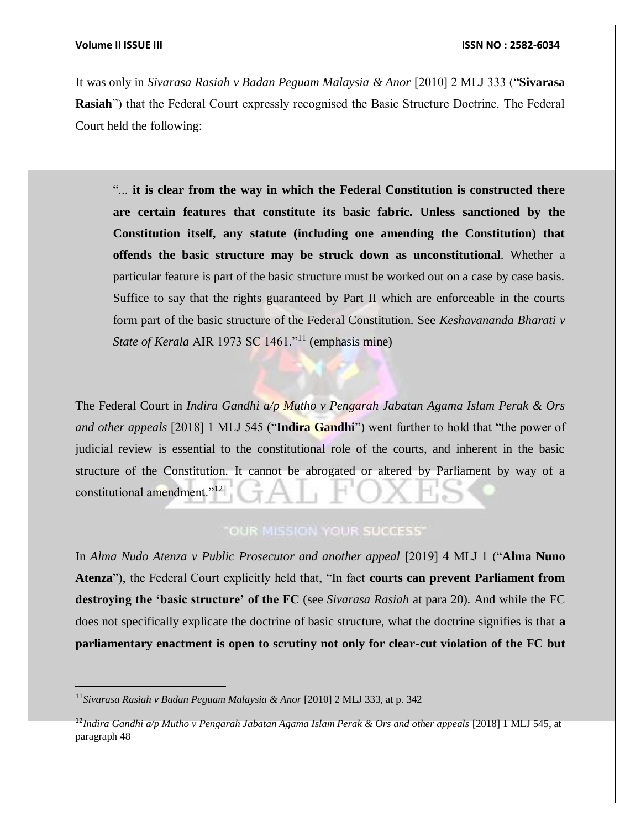$\overline{a}$ 

It was only in *Sivarasa Rasiah v Badan Peguam Malaysia & Anor* [2010] 2 MLJ 333 ("**Sivarasa Rasiah**") that the Federal Court expressly recognised the Basic Structure Doctrine. The Federal Court held the following:

"... **it is clear from the way in which the Federal Constitution is constructed there are certain features that constitute its basic fabric. Unless sanctioned by the Constitution itself, any statute (including one amending the Constitution) that offends the basic structure may be struck down as unconstitutional**. Whether a particular feature is part of the basic structure must be worked out on a case by case basis. Suffice to say that the rights guaranteed by Part II which are enforceable in the courts form part of the basic structure of the Federal Constitution. See *Keshavananda Bharati v State of Kerala* AIR 1973 SC 1461."<sup>11</sup> (emphasis mine)

The Federal Court in *Indira Gandhi a/p Mutho v Pengarah Jabatan Agama Islam Perak & Ors and other appeals* [2018] 1 MLJ 545 ("**Indira Gandhi**") went further to hold that "the power of judicial review is essential to the constitutional role of the courts, and inherent in the basic structure of the Constitution. It cannot be abrogated or altered by Parliament by way of a constitutional amendment."<sup>12</sup>

# "OUR MISSION YOUR SUCCESS"

In *Alma Nudo Atenza v Public Prosecutor and another appeal* [2019] 4 MLJ 1 ("**Alma Nuno Atenza**"), the Federal Court explicitly held that, "In fact **courts can prevent Parliament from destroying the 'basic structure' of the FC** (see *Sivarasa Rasiah* at para 20). And while the FC does not specifically explicate the doctrine of basic structure, what the doctrine signifies is that **a parliamentary enactment is open to scrutiny not only for clear-cut violation of the FC but** 

<sup>11</sup>*Sivarasa Rasiah v Badan Peguam Malaysia & Anor* [2010] 2 MLJ 333, at p. 342

<sup>12</sup>*Indira Gandhi a/p Mutho v Pengarah Jabatan Agama Islam Perak & Ors and other appeals* [2018] 1 MLJ 545, at paragraph 48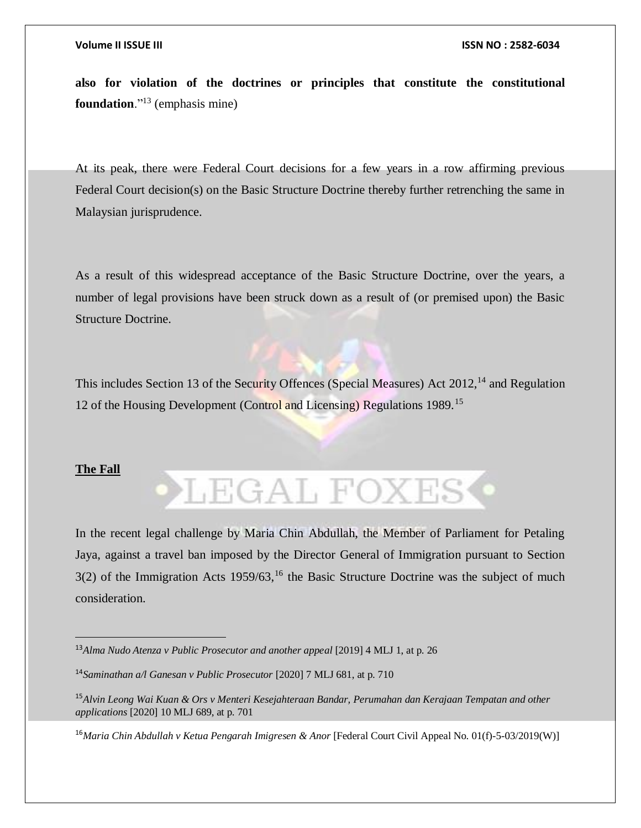**also for violation of the doctrines or principles that constitute the constitutional foundation**."<sup>13</sup> (emphasis mine)

At its peak, there were Federal Court decisions for a few years in a row affirming previous Federal Court decision(s) on the Basic Structure Doctrine thereby further retrenching the same in Malaysian jurisprudence.

As a result of this widespread acceptance of the Basic Structure Doctrine, over the years, a number of legal provisions have been struck down as a result of (or premised upon) the Basic Structure Doctrine.

This includes Section 13 of the Security Offences (Special Measures) Act  $2012$ , <sup>14</sup> and Regulation 12 of the Housing Development (Control and Licensing) Regulations 1989.<sup>15</sup>

### **The Fall**

 $\overline{a}$ 

**LEGAL FOXES** 

In the recent legal challenge by Maria Chin Abdullah, the Member of Parliament for Petaling Jaya, against a travel ban imposed by the Director General of Immigration pursuant to Section  $3(2)$  of the Immigration Acts  $1959/63$ ,<sup>16</sup> the Basic Structure Doctrine was the subject of much consideration.

<sup>13</sup>*Alma Nudo Atenza v Public Prosecutor and another appeal* [2019] 4 MLJ 1, at p. 26

<sup>14</sup>*Saminathan a/l Ganesan v Public Prosecutor* [2020] 7 MLJ 681, at p. 710

<sup>15</sup>*Alvin Leong Wai Kuan & Ors v Menteri Kesejahteraan Bandar, Perumahan dan Kerajaan Tempatan and other applications* [2020] 10 MLJ 689, at p. 701

<sup>&</sup>lt;sup>16</sup> Maria Chin Abdullah v Ketua Pengarah Imigresen & Anor [Federal Court Civil Appeal No. 01(f)-5-03/2019(W)]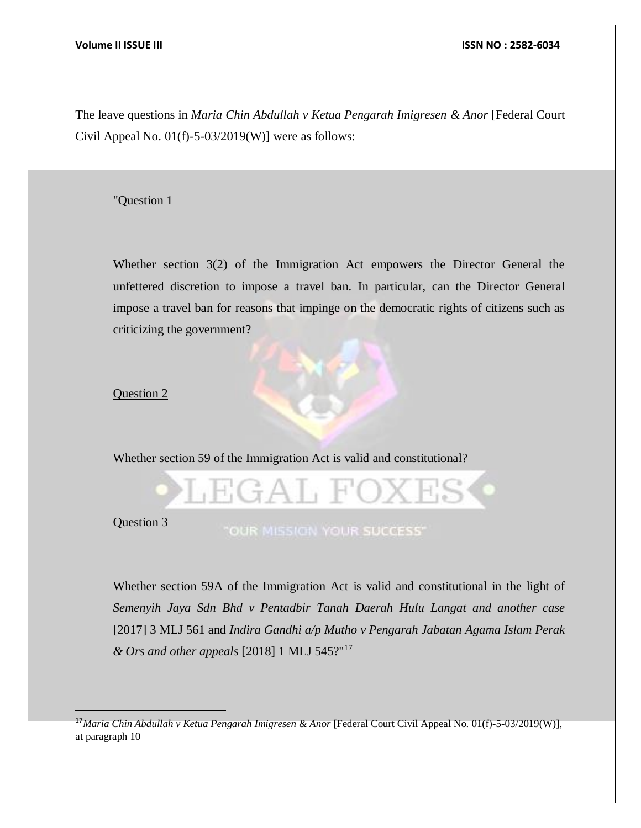The leave questions in *Maria Chin Abdullah v Ketua Pengarah Imigresen & Anor* [Federal Court Civil Appeal No.  $01(f)$ -5-03/2019(W)] were as follows:

### "Question 1

Whether section 3(2) of the Immigration Act empowers the Director General the unfettered discretion to impose a travel ban. In particular, can the Director General impose a travel ban for reasons that impinge on the democratic rights of citizens such as criticizing the government?

### Question 2

Whether section 59 of the Immigration Act is valid and constitutional?



Question 3

 $\overline{a}$ 

Whether section 59A of the Immigration Act is valid and constitutional in the light of *Semenyih Jaya Sdn Bhd v Pentadbir Tanah Daerah Hulu Langat and another case*  [2017] 3 MLJ 561 and *Indira Gandhi a/p Mutho v Pengarah Jabatan Agama Islam Perak & Ors and other appeals* [2018] 1 MLJ 545?"<sup>17</sup>

<sup>&</sup>lt;sup>17</sup> Maria Chin Abdullah v Ketua Pengarah Imigresen & Anor [Federal Court Civil Appeal No. 01(f)-5-03/2019(W)], at paragraph 10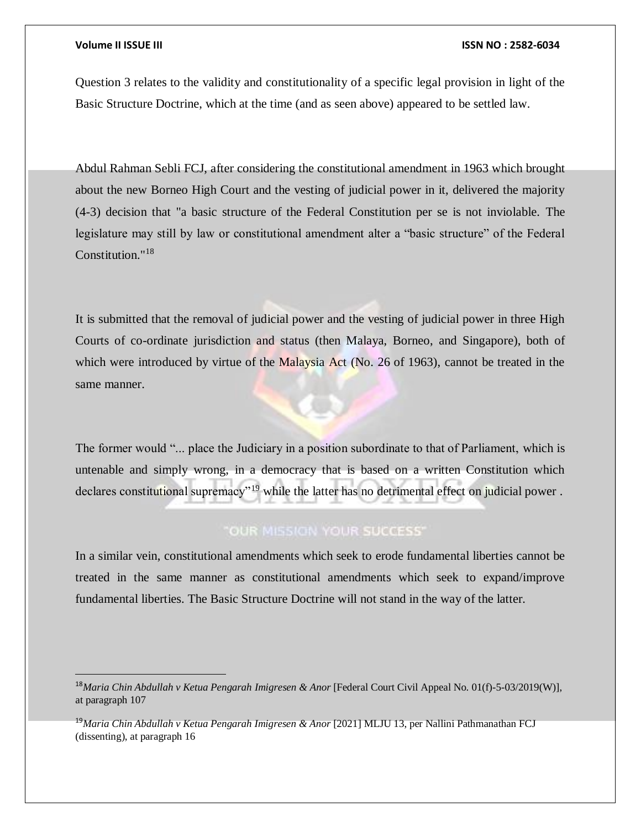$\overline{a}$ 

### **Volume II ISSUE III ISSN NO : 2582-6034**

Question 3 relates to the validity and constitutionality of a specific legal provision in light of the Basic Structure Doctrine, which at the time (and as seen above) appeared to be settled law.

Abdul Rahman Sebli FCJ, after considering the constitutional amendment in 1963 which brought about the new Borneo High Court and the vesting of judicial power in it, delivered the majority (4-3) decision that "a basic structure of the Federal Constitution per se is not inviolable. The legislature may still by law or constitutional amendment alter a "basic structure" of the Federal Constitution."<sup>18</sup>

It is submitted that the removal of judicial power and the vesting of judicial power in three High Courts of co-ordinate jurisdiction and status (then Malaya, Borneo, and Singapore), both of which were introduced by virtue of the Malaysia Act (No. 26 of 1963), cannot be treated in the same manner.

The former would "... place the Judiciary in a position subordinate to that of Parliament, which is untenable and simply wrong, in a democracy that is based on a written Constitution which declares constitutional supremacy"<sup>19</sup> while the latter has no detrimental effect on judicial power.

# "OUR MISSION YOUR SUCCESS"

In a similar vein, constitutional amendments which seek to erode fundamental liberties cannot be treated in the same manner as constitutional amendments which seek to expand/improve fundamental liberties. The Basic Structure Doctrine will not stand in the way of the latter.

<sup>18</sup>*Maria Chin Abdullah v Ketua Pengarah Imigresen & Anor* [Federal Court Civil Appeal No. 01(f)-5-03/2019(W)], at paragraph 107

<sup>19</sup>*Maria Chin Abdullah v Ketua Pengarah Imigresen & Anor* [2021] MLJU 13, per Nallini Pathmanathan FCJ (dissenting), at paragraph 16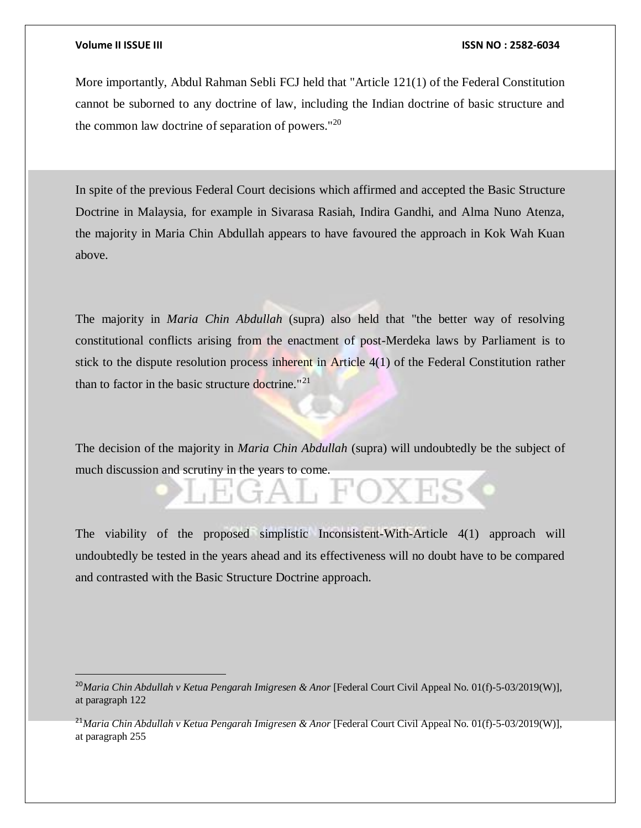$\overline{a}$ 

### **Volume II ISSUE III ISSN NO : 2582-6034**

More importantly, Abdul Rahman Sebli FCJ held that "Article 121(1) of the Federal Constitution cannot be suborned to any doctrine of law, including the Indian doctrine of basic structure and the common law doctrine of separation of powers."<sup>20</sup>

In spite of the previous Federal Court decisions which affirmed and accepted the Basic Structure Doctrine in Malaysia, for example in Sivarasa Rasiah, Indira Gandhi, and Alma Nuno Atenza, the majority in Maria Chin Abdullah appears to have favoured the approach in Kok Wah Kuan above.

The majority in *Maria Chin Abdullah* (supra) also held that "the better way of resolving constitutional conflicts arising from the enactment of post-Merdeka laws by Parliament is to stick to the dispute resolution process inherent in Article 4(1) of the Federal Constitution rather than to factor in the basic structure doctrine."<sup>21</sup>

The decision of the majority in *Maria Chin Abdullah* (supra) will undoubtedly be the subject of much discussion and scrutiny in the years to come.

The viability of the proposed simplistic Inconsistent-With-Article 4(1) approach will undoubtedly be tested in the years ahead and its effectiveness will no doubt have to be compared and contrasted with the Basic Structure Doctrine approach.

<sup>21</sup>Maria Chin Abdullah v Ketua Pengarah Imigresen & Anor [Federal Court Civil Appeal No. 01(f)-5-03/2019(W)], at paragraph 255

<sup>&</sup>lt;sup>20</sup>Maria Chin Abdullah v Ketua Pengarah Imigresen & Anor [Federal Court Civil Appeal No. 01(f)-5-03/2019(W)], at paragraph 122